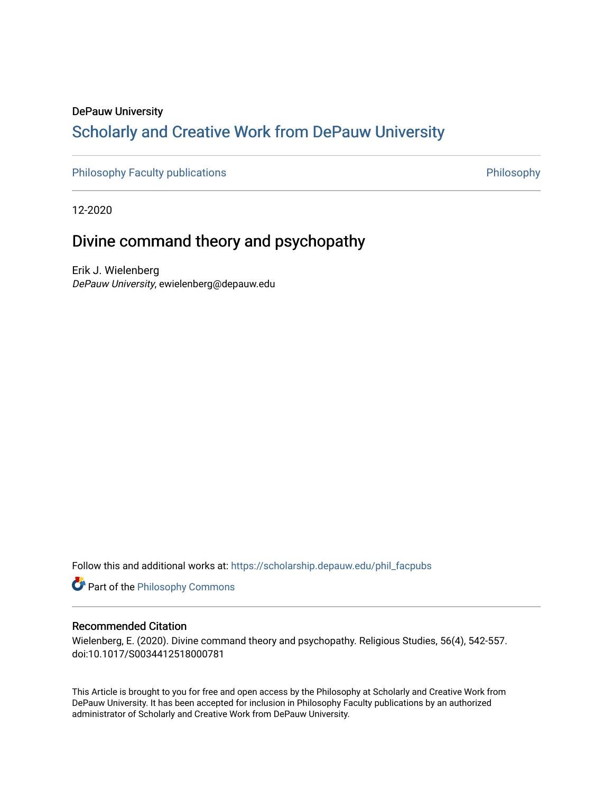# DePauw University Scholarly and [Creative Work from DePauw Univ](https://scholarship.depauw.edu/)ersity

[Philosophy Faculty publications](https://scholarship.depauw.edu/phil_facpubs) **Philosophy** Philosophy

12-2020

# Divine command theory and psychopathy

Erik J. Wielenberg DePauw University, ewielenberg@depauw.edu

Follow this and additional works at: [https://scholarship.depauw.edu/phil\\_facpubs](https://scholarship.depauw.edu/phil_facpubs?utm_source=scholarship.depauw.edu%2Fphil_facpubs%2F6&utm_medium=PDF&utm_campaign=PDFCoverPages) 

**Part of the Philosophy Commons** 

## Recommended Citation

Wielenberg, E. (2020). Divine command theory and psychopathy. Religious Studies, 56(4), 542-557. doi:10.1017/S0034412518000781

This Article is brought to you for free and open access by the Philosophy at Scholarly and Creative Work from DePauw University. It has been accepted for inclusion in Philosophy Faculty publications by an authorized administrator of Scholarly and Creative Work from DePauw University.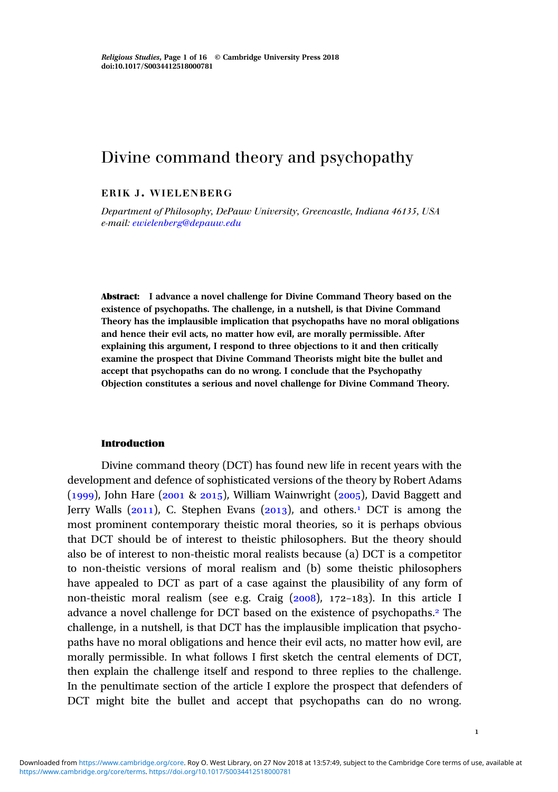## Divine command theory and psychopathy

## ERIK J. WIELENBERG

Department of Philosophy, DePauw University, Greencastle, Indiana 46135, USA e-mail: [ewielenberg@depauw.edu](mailto:ewielenberg@depauw.edu)

Abstract: I advance a novel challenge for Divine Command Theory based on the existence of psychopaths. The challenge, in a nutshell, is that Divine Command Theory has the implausible implication that psychopaths have no moral obligations and hence their evil acts, no matter how evil, are morally permissible. After explaining this argument, I respond to three objections to it and then critically examine the prospect that Divine Command Theorists might bite the bullet and accept that psychopaths can do no wrong. I conclude that the Psychopathy Objection constitutes a serious and novel challenge for Divine Command Theory.

#### Introduction

Divine command theory (DCT) has found new life in recent years with the development and defence of sophisticated versions of the theory by Robert Adams  $(1999)$ , John Hare  $(2001 \& 2015)$ , William Wainwright  $(2005)$ , David Baggett and Jerry Walls ( $2011$ ), C. Stephen Evans ( $2013$ ), and others.<sup>1</sup> DCT is among the most prominent contemporary theistic moral theories, so it is perhaps obvious that DCT should be of interest to theistic philosophers. But the theory should also be of interest to non-theistic moral realists because (a) DCT is a competitor to non-theistic versions of moral realism and (b) some theistic philosophers have appealed to DCT as part of a case against the plausibility of any form of non-theistic moral realism (see e.g. Craig  $(2008)$ ,  $172-183$ ). In this article I advance a novel challenge for DCT based on the existence of psychopaths. The challenge, in a nutshell, is that DCT has the implausible implication that psychopaths have no moral obligations and hence their evil acts, no matter how evil, are morally permissible. In what follows I first sketch the central elements of DCT, then explain the challenge itself and respond to three replies to the challenge. In the penultimate section of the article I explore the prospect that defenders of DCT might bite the bullet and accept that psychopaths can do no wrong.

 $\mathbf 1$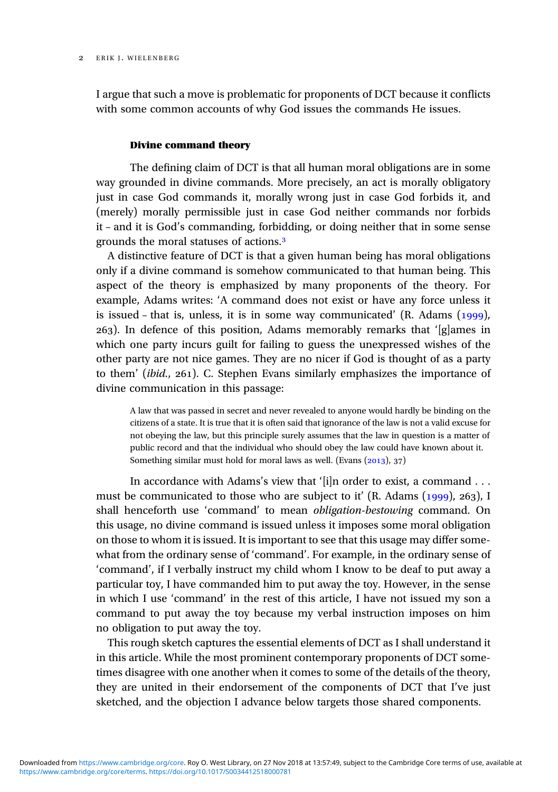I argue that such a move is problematic for proponents of DCT because it conflicts with some common accounts of why God issues the commands He issues.

## Divine command theory

The defining claim of DCT is that all human moral obligations are in some way grounded in divine commands. More precisely, an act is morally obligatory just in case God commands it, morally wrong just in case God forbids it, and (merely) morally permissible just in case God neither commands nor forbids it – and it is God's commanding, forbidding, or doing neither that in some sense grounds the moral statuses of actions.

A distinctive feature of DCT is that a given human being has moral obligations only if a divine command is somehow communicated to that human being. This aspect of the theory is emphasized by many proponents of the theory. For example, Adams writes: 'A command does not exist or have any force unless it is issued – that is, unless, it is in some way communicated'  $(R.$  Adams  $(1999)$ , ). In defence of this position, Adams memorably remarks that '[g]ames in which one party incurs guilt for failing to guess the unexpressed wishes of the other party are not nice games. They are no nicer if God is thought of as a party to them' (*ibid.*,  $261$ ). C. Stephen Evans similarly emphasizes the importance of divine communication in this passage:

A law that was passed in secret and never revealed to anyone would hardly be binding on the citizens of a state. It is true that it is often said that ignorance of the law is not a valid excuse for not obeying the law, but this principle surely assumes that the law in question is a matter of public record and that the individual who should obey the law could have known about it. Something similar must hold for moral laws as well. (Evans  $(2013)$ , 37)

In accordance with Adams's view that '[i]n order to exist, a command . . . must be communicated to those who are subject to it'  $(R. Adams (1999), 263)$ , I shall henceforth use 'command' to mean obligation-bestowing command. On this usage, no divine command is issued unless it imposes some moral obligation on those to whom it is issued. It is important to see that this usage may differ somewhat from the ordinary sense of 'command'. For example, in the ordinary sense of 'command', if I verbally instruct my child whom I know to be deaf to put away a particular toy, I have commanded him to put away the toy. However, in the sense in which I use 'command' in the rest of this article, I have not issued my son a command to put away the toy because my verbal instruction imposes on him no obligation to put away the toy.

This rough sketch captures the essential elements of DCT as I shall understand it in this article. While the most prominent contemporary proponents of DCT sometimes disagree with one another when it comes to some of the details of the theory, they are united in their endorsement of the components of DCT that I've just sketched, and the objection I advance below targets those shared components.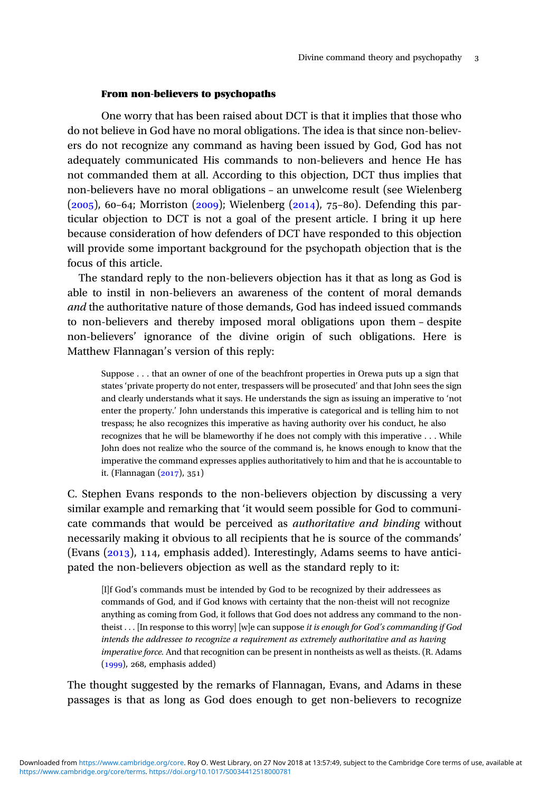## From non-believers to psychopaths

One worry that has been raised about DCT is that it implies that those who do not believe in God have no moral obligations. The idea is that since non-believers do not recognize any command as having been issued by God, God has not adequately communicated His commands to non-believers and hence He has not commanded them at all. According to this objection, DCT thus implies that non-believers have no moral obligations – an unwelcome result (see Wielenberg  $(2005)$ , 60–64; Morriston (2009); Wielenberg (2014), 75–80). Defending this particular objection to DCT is not a goal of the present article. I bring it up here because consideration of how defenders of DCT have responded to this objection will provide some important background for the psychopath objection that is the focus of this article.

The standard reply to the non-believers objection has it that as long as God is able to instil in non-believers an awareness of the content of moral demands and the authoritative nature of those demands, God has indeed issued commands to non-believers and thereby imposed moral obligations upon them – despite non-believers' ignorance of the divine origin of such obligations. Here is Matthew Flannagan's version of this reply:

Suppose . . . that an owner of one of the beachfront properties in Orewa puts up a sign that states 'private property do not enter, trespassers will be prosecuted' and that John sees the sign and clearly understands what it says. He understands the sign as issuing an imperative to 'not enter the property.' John understands this imperative is categorical and is telling him to not trespass; he also recognizes this imperative as having authority over his conduct, he also recognizes that he will be blameworthy if he does not comply with this imperative . . . While John does not realize who the source of the command is, he knows enough to know that the imperative the command expresses applies authoritatively to him and that he is accountable to it. (Flannagan (2017), 351)

C. Stephen Evans responds to the non-believers objection by discussing a very similar example and remarking that 'it would seem possible for God to communicate commands that would be perceived as authoritative and binding without necessarily making it obvious to all recipients that he is source of the commands' (Evans  $(2013)$ , 114, emphasis added). Interestingly, Adams seems to have anticipated the non-believers objection as well as the standard reply to it:

[I]f God's commands must be intended by God to be recognized by their addressees as commands of God, and if God knows with certainty that the non-theist will not recognize anything as coming from God, it follows that God does not address any command to the nontheist . . . [In response to this worry] [w]e can suppose it is enough for God's commanding if God intends the addressee to recognize a requirement as extremely authoritative and as having imperative force. And that recognition can be present in nontheists as well as theists. (R. Adams  $(1999)$ , 268, emphasis added)

The thought suggested by the remarks of Flannagan, Evans, and Adams in these passages is that as long as God does enough to get non-believers to recognize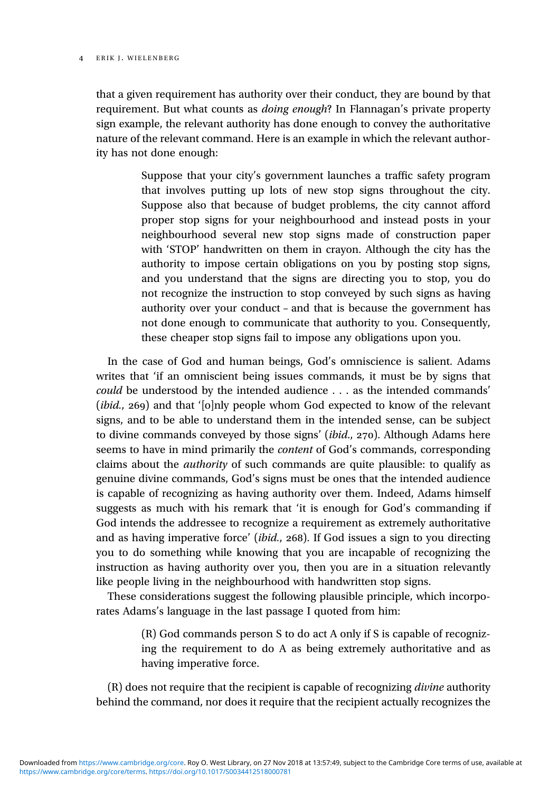#### 4 ERIK J. WIELENBERG

that a given requirement has authority over their conduct, they are bound by that requirement. But what counts as *doing enough*? In Flannagan's private property sign example, the relevant authority has done enough to convey the authoritative nature of the relevant command. Here is an example in which the relevant authority has not done enough:

> Suppose that your city's government launches a traffic safety program that involves putting up lots of new stop signs throughout the city. Suppose also that because of budget problems, the city cannot afford proper stop signs for your neighbourhood and instead posts in your neighbourhood several new stop signs made of construction paper with 'STOP' handwritten on them in crayon. Although the city has the authority to impose certain obligations on you by posting stop signs, and you understand that the signs are directing you to stop, you do not recognize the instruction to stop conveyed by such signs as having authority over your conduct – and that is because the government has not done enough to communicate that authority to you. Consequently, these cheaper stop signs fail to impose any obligations upon you.

In the case of God and human beings, God's omniscience is salient. Adams writes that 'if an omniscient being issues commands, it must be by signs that could be understood by the intended audience . . . as the intended commands'  $(ibid., 269)$  and that ' $[o]$ nly people whom God expected to know of the relevant signs, and to be able to understand them in the intended sense, can be subject to divine commands conveyed by those signs' (*ibid.*,  $270$ ). Although Adams here seems to have in mind primarily the content of God's commands, corresponding claims about the authority of such commands are quite plausible: to qualify as genuine divine commands, God's signs must be ones that the intended audience is capable of recognizing as having authority over them. Indeed, Adams himself suggests as much with his remark that 'it is enough for God's commanding if God intends the addressee to recognize a requirement as extremely authoritative and as having imperative force' (*ibid.*,  $268$ ). If God issues a sign to you directing you to do something while knowing that you are incapable of recognizing the instruction as having authority over you, then you are in a situation relevantly like people living in the neighbourhood with handwritten stop signs.

These considerations suggest the following plausible principle, which incorporates Adams's language in the last passage I quoted from him:

> (R) God commands person S to do act A only if S is capable of recognizing the requirement to do A as being extremely authoritative and as having imperative force.

(R) does not require that the recipient is capable of recognizing divine authority behind the command, nor does it require that the recipient actually recognizes the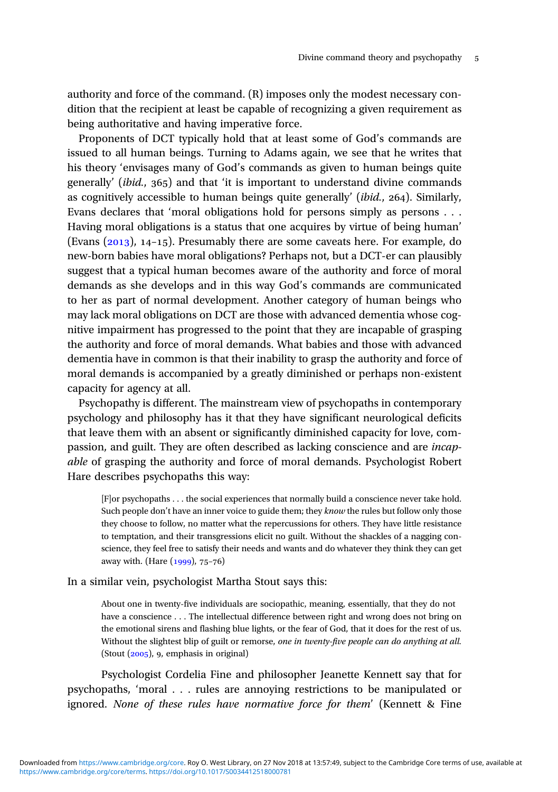authority and force of the command. (R) imposes only the modest necessary condition that the recipient at least be capable of recognizing a given requirement as being authoritative and having imperative force.

Proponents of DCT typically hold that at least some of God's commands are issued to all human beings. Turning to Adams again, we see that he writes that his theory 'envisages many of God's commands as given to human beings quite generally' (*ibid.*,  $365$ ) and that 'it is important to understand divine commands as cognitively accessible to human beings quite generally' ( $ibid., 264$ ). Similarly, Evans declares that 'moral obligations hold for persons simply as persons . . . Having moral obligations is a status that one acquires by virtue of being human' (Evans  $(2013)$ , 14-15). Presumably there are some caveats here. For example, do new-born babies have moral obligations? Perhaps not, but a DCT-er can plausibly suggest that a typical human becomes aware of the authority and force of moral demands as she develops and in this way God's commands are communicated to her as part of normal development. Another category of human beings who may lack moral obligations on DCT are those with advanced dementia whose cognitive impairment has progressed to the point that they are incapable of grasping the authority and force of moral demands. What babies and those with advanced dementia have in common is that their inability to grasp the authority and force of moral demands is accompanied by a greatly diminished or perhaps non-existent capacity for agency at all.

Psychopathy is different. The mainstream view of psychopaths in contemporary psychology and philosophy has it that they have significant neurological deficits that leave them with an absent or significantly diminished capacity for love, compassion, and guilt. They are often described as lacking conscience and are incapable of grasping the authority and force of moral demands. Psychologist Robert Hare describes psychopaths this way:

[F]or psychopaths . . . the social experiences that normally build a conscience never take hold. Such people don't have an inner voice to guide them; they *know* the rules but follow only those they choose to follow, no matter what the repercussions for others. They have little resistance to temptation, and their transgressions elicit no guilt. Without the shackles of a nagging conscience, they feel free to satisfy their needs and wants and do whatever they think they can get away with. (Hare  $(1999)$ , 75-76)

In a similar vein, psychologist Martha Stout says this:

About one in twenty-five individuals are sociopathic, meaning, essentially, that they do not have a conscience . . . The intellectual difference between right and wrong does not bring on the emotional sirens and flashing blue lights, or the fear of God, that it does for the rest of us. Without the slightest blip of guilt or remorse, one in twenty-five people can do anything at all. (Stout  $(2005)$ , 9, emphasis in original)

Psychologist Cordelia Fine and philosopher Jeanette Kennett say that for psychopaths, 'moral . . . rules are annoying restrictions to be manipulated or ignored. None of these rules have normative force for them' (Kennett & Fine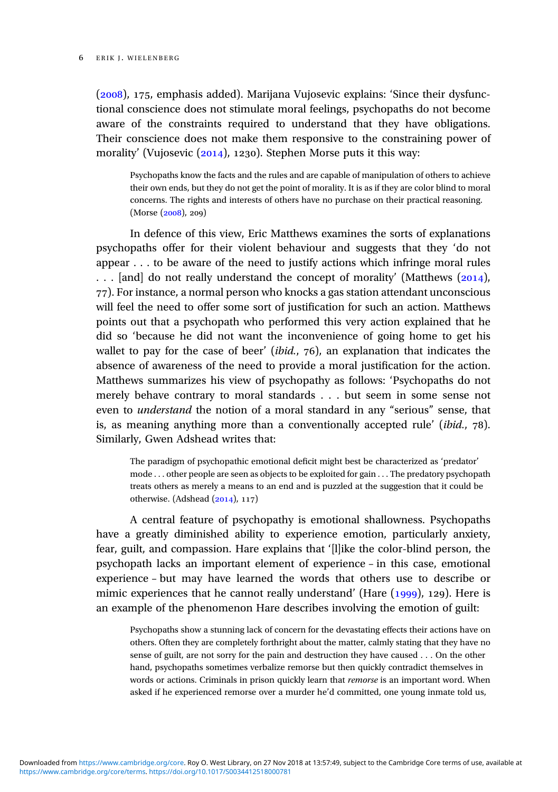$(2008)$ , 175, emphasis added). Marijana Vujosevic explains: 'Since their dysfunctional conscience does not stimulate moral feelings, psychopaths do not become aware of the constraints required to understand that they have obligations. Their conscience does not make them responsive to the constraining power of morality' (Vujosevic  $(2014)$ , 1230). Stephen Morse puts it this way:

Psychopaths know the facts and the rules and are capable of manipulation of others to achieve their own ends, but they do not get the point of morality. It is as if they are color blind to moral concerns. The rights and interests of others have no purchase on their practical reasoning.  $(Morse (2008), 209)$ 

In defence of this view, Eric Matthews examines the sorts of explanations psychopaths offer for their violent behaviour and suggests that they 'do not appear . . . to be aware of the need to justify actions which infringe moral rules ... [and] do not really understand the concept of morality' (Matthews (2014), ). For instance, a normal person who knocks a gas station attendant unconscious will feel the need to offer some sort of justification for such an action. Matthews points out that a psychopath who performed this very action explained that he did so 'because he did not want the inconvenience of going home to get his wallet to pay for the case of beer' (*ibid.*,  $76$ ), an explanation that indicates the absence of awareness of the need to provide a moral justification for the action. Matthews summarizes his view of psychopathy as follows: 'Psychopaths do not merely behave contrary to moral standards . . . but seem in some sense not even to understand the notion of a moral standard in any "serious" sense, that is, as meaning anything more than a conventionally accepted rule' (*ibid.*,  $78$ ). Similarly, Gwen Adshead writes that:

The paradigm of psychopathic emotional deficit might best be characterized as 'predator' mode . . . other people are seen as objects to be exploited for gain . . . The predatory psychopath treats others as merely a means to an end and is puzzled at the suggestion that it could be otherwise. (Adshead  $(2014)$ , 117)

A central feature of psychopathy is emotional shallowness. Psychopaths have a greatly diminished ability to experience emotion, particularly anxiety, fear, guilt, and compassion. Hare explains that '[l]ike the color-blind person, the psychopath lacks an important element of experience – in this case, emotional experience – but may have learned the words that others use to describe or mimic experiences that he cannot really understand' (Hare  $(1999)$ , 129). Here is an example of the phenomenon Hare describes involving the emotion of guilt:

Psychopaths show a stunning lack of concern for the devastating effects their actions have on others. Often they are completely forthright about the matter, calmly stating that they have no sense of guilt, are not sorry for the pain and destruction they have caused . . . On the other hand, psychopaths sometimes verbalize remorse but then quickly contradict themselves in words or actions. Criminals in prison quickly learn that remorse is an important word. When asked if he experienced remorse over a murder he'd committed, one young inmate told us,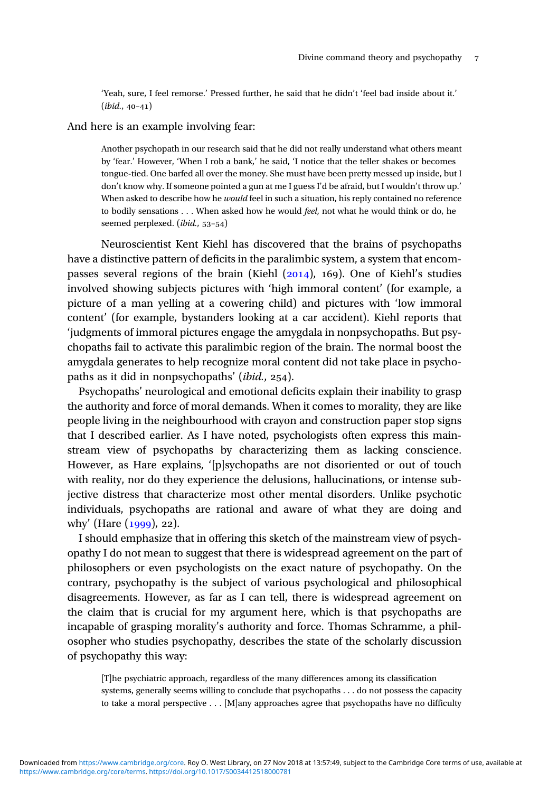'Yeah, sure, I feel remorse.' Pressed further, he said that he didn't 'feel bad inside about it.'  $(ibid., 40-41)$ 

## And here is an example involving fear:

Another psychopath in our research said that he did not really understand what others meant by 'fear.' However, 'When I rob a bank,' he said, 'I notice that the teller shakes or becomes tongue-tied. One barfed all over the money. She must have been pretty messed up inside, but I don't know why. If someone pointed a gun at me I guess I'd be afraid, but I wouldn't throw up.' When asked to describe how he *would* feel in such a situation, his reply contained no reference to bodily sensations . . . When asked how he would *feel*, not what he would think or do, he seemed perplexed.  $(ibid., 53-54)$ 

Neuroscientist Kent Kiehl has discovered that the brains of psychopaths have a distinctive pattern of deficits in the paralimbic system, a system that encompasses several regions of the brain (Kiehl  $(2014)$ , 169). One of Kiehl's studies involved showing subjects pictures with 'high immoral content' (for example, a picture of a man yelling at a cowering child) and pictures with 'low immoral content' (for example, bystanders looking at a car accident). Kiehl reports that 'judgments of immoral pictures engage the amygdala in nonpsychopaths. But psychopaths fail to activate this paralimbic region of the brain. The normal boost the amygdala generates to help recognize moral content did not take place in psychopaths as it did in nonpsychopaths' (ibid., 254).

Psychopaths' neurological and emotional deficits explain their inability to grasp the authority and force of moral demands. When it comes to morality, they are like people living in the neighbourhood with crayon and construction paper stop signs that I described earlier. As I have noted, psychologists often express this mainstream view of psychopaths by characterizing them as lacking conscience. However, as Hare explains, '[p]sychopaths are not disoriented or out of touch with reality, nor do they experience the delusions, hallucinations, or intense subjective distress that characterize most other mental disorders. Unlike psychotic individuals, psychopaths are rational and aware of what they are doing and why' (Hare  $(1999)$ , 22).

I should emphasize that in offering this sketch of the mainstream view of psychopathy I do not mean to suggest that there is widespread agreement on the part of philosophers or even psychologists on the exact nature of psychopathy. On the contrary, psychopathy is the subject of various psychological and philosophical disagreements. However, as far as I can tell, there is widespread agreement on the claim that is crucial for my argument here, which is that psychopaths are incapable of grasping morality's authority and force. Thomas Schramme, a philosopher who studies psychopathy, describes the state of the scholarly discussion of psychopathy this way:

[T]he psychiatric approach, regardless of the many differences among its classification systems, generally seems willing to conclude that psychopaths . . . do not possess the capacity to take a moral perspective . . . [M]any approaches agree that psychopaths have no difficulty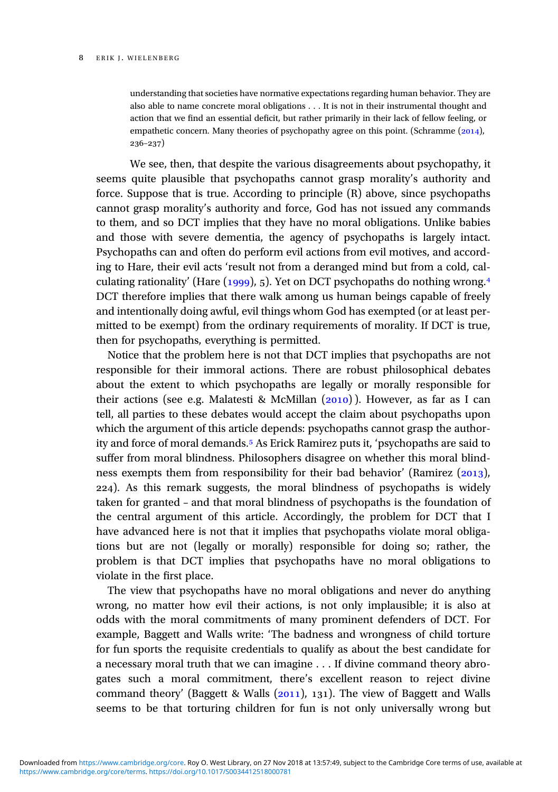understanding that societies have normative expectations regarding human behavior. They are also able to name concrete moral obligations . . . It is not in their instrumental thought and action that we find an essential deficit, but rather primarily in their lack of fellow feeling, or empathetic concern. Many theories of psychopathy agree on this point. (Schramme  $(2014)$ ,  $236 - 237$ 

We see, then, that despite the various disagreements about psychopathy, it seems quite plausible that psychopaths cannot grasp morality's authority and force. Suppose that is true. According to principle (R) above, since psychopaths cannot grasp morality's authority and force, God has not issued any commands to them, and so DCT implies that they have no moral obligations. Unlike babies and those with severe dementia, the agency of psychopaths is largely intact. Psychopaths can and often do perform evil actions from evil motives, and according to Hare, their evil acts 'result not from a deranged mind but from a cold, calculating rationality' (Hare  $(1999)$ , 5). Yet on DCT psychopaths do nothing wrong.<sup>4</sup> DCT therefore implies that there walk among us human beings capable of freely and intentionally doing awful, evil things whom God has exempted (or at least permitted to be exempt) from the ordinary requirements of morality. If DCT is true, then for psychopaths, everything is permitted.

Notice that the problem here is not that DCT implies that psychopaths are not responsible for their immoral actions. There are robust philosophical debates about the extent to which psychopaths are legally or morally responsible for their actions (see e.g. Malatesti & McMillan  $(2010)$ ). However, as far as I can tell, all parties to these debates would accept the claim about psychopaths upon which the argument of this article depends: psychopaths cannot grasp the authority and force of moral demands.<sup>5</sup> As Erick Ramirez puts it, 'psychopaths are said to suffer from moral blindness. Philosophers disagree on whether this moral blindness exempts them from responsibility for their bad behavior' (Ramirez  $(2013)$ , ). As this remark suggests, the moral blindness of psychopaths is widely taken for granted – and that moral blindness of psychopaths is the foundation of the central argument of this article. Accordingly, the problem for DCT that I have advanced here is not that it implies that psychopaths violate moral obligations but are not (legally or morally) responsible for doing so; rather, the problem is that DCT implies that psychopaths have no moral obligations to violate in the first place.

The view that psychopaths have no moral obligations and never do anything wrong, no matter how evil their actions, is not only implausible; it is also at odds with the moral commitments of many prominent defenders of DCT. For example, Baggett and Walls write: 'The badness and wrongness of child torture for fun sports the requisite credentials to qualify as about the best candidate for a necessary moral truth that we can imagine . . . If divine command theory abrogates such a moral commitment, there's excellent reason to reject divine command theory' (Baggett & Walls  $(2011)$ , 131). The view of Baggett and Walls seems to be that torturing children for fun is not only universally wrong but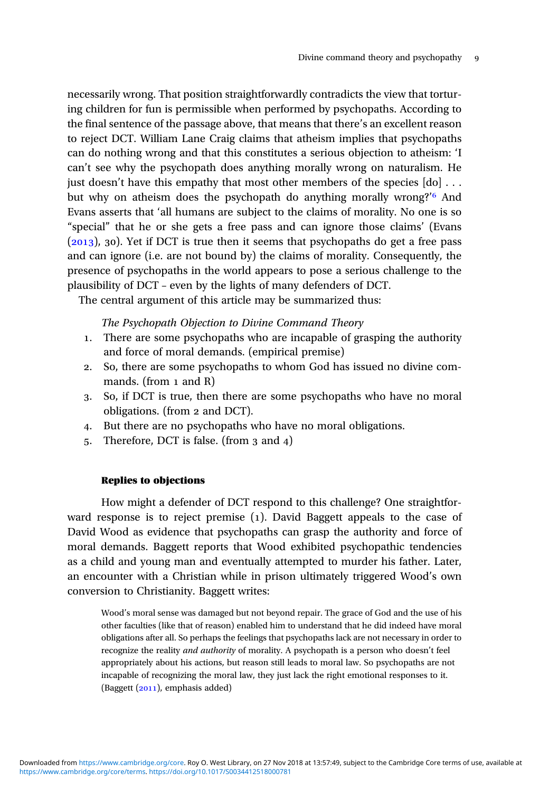necessarily wrong. That position straightforwardly contradicts the view that torturing children for fun is permissible when performed by psychopaths. According to the final sentence of the passage above, that means that there's an excellent reason to reject DCT. William Lane Craig claims that atheism implies that psychopaths can do nothing wrong and that this constitutes a serious objection to atheism: 'I can't see why the psychopath does anything morally wrong on naturalism. He just doesn't have this empathy that most other members of the species  $[d_0] \dots$ but why on atheism does the psychopath do anything morally wrong?' And Evans asserts that 'all humans are subject to the claims of morality. No one is so "special" that he or she gets a free pass and can ignore those claims' (Evans  $(2013)$ , 30). Yet if DCT is true then it seems that psychopaths do get a free pass and can ignore (i.e. are not bound by) the claims of morality. Consequently, the presence of psychopaths in the world appears to pose a serious challenge to the plausibility of DCT – even by the lights of many defenders of DCT.

The central argument of this article may be summarized thus:

## The Psychopath Objection to Divine Command Theory

- . There are some psychopaths who are incapable of grasping the authority and force of moral demands. (empirical premise)
- . So, there are some psychopaths to whom God has issued no divine commands. (from  $1$  and  $R$ )
- . So, if DCT is true, then there are some psychopaths who have no moral obligations. (from 2 and DCT).
- . But there are no psychopaths who have no moral obligations.
- 5. Therefore, DCT is false. (from 3 and 4)

## Replies to objections

How might a defender of DCT respond to this challenge? One straightforward response is to reject premise  $(1)$ . David Baggett appeals to the case of David Wood as evidence that psychopaths can grasp the authority and force of moral demands. Baggett reports that Wood exhibited psychopathic tendencies as a child and young man and eventually attempted to murder his father. Later, an encounter with a Christian while in prison ultimately triggered Wood's own conversion to Christianity. Baggett writes:

Wood's moral sense was damaged but not beyond repair. The grace of God and the use of his other faculties (like that of reason) enabled him to understand that he did indeed have moral obligations after all. So perhaps the feelings that psychopaths lack are not necessary in order to recognize the reality and authority of morality. A psychopath is a person who doesn't feel appropriately about his actions, but reason still leads to moral law. So psychopaths are not incapable of recognizing the moral law, they just lack the right emotional responses to it. (Baggett  $(2011)$ , emphasis added)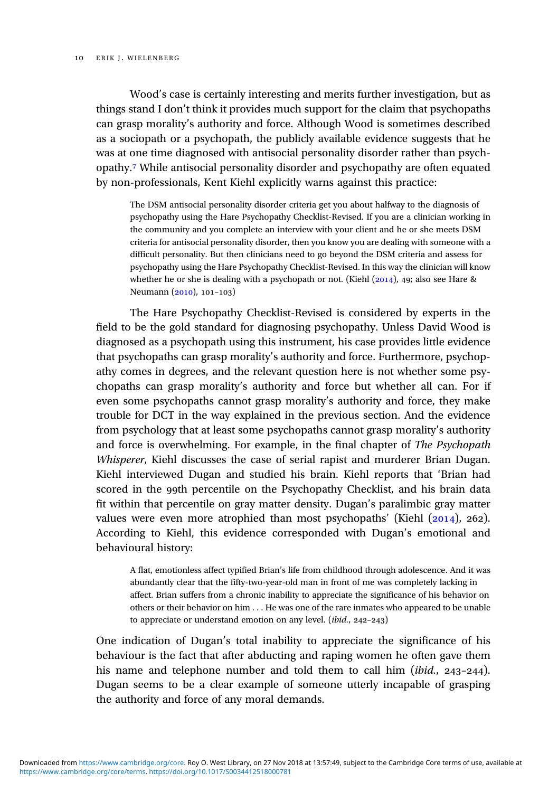Wood's case is certainly interesting and merits further investigation, but as things stand I don't think it provides much support for the claim that psychopaths can grasp morality's authority and force. Although Wood is sometimes described as a sociopath or a psychopath, the publicly available evidence suggests that he was at one time diagnosed with antisocial personality disorder rather than psychopathy. While antisocial personality disorder and psychopathy are often equated by non-professionals, Kent Kiehl explicitly warns against this practice:

The DSM antisocial personality disorder criteria get you about halfway to the diagnosis of psychopathy using the Hare Psychopathy Checklist-Revised. If you are a clinician working in the community and you complete an interview with your client and he or she meets DSM criteria for antisocial personality disorder, then you know you are dealing with someone with a difficult personality. But then clinicians need to go beyond the DSM criteria and assess for psychopathy using the Hare Psychopathy Checklist-Revised. In this way the clinician will know whether he or she is dealing with a psychopath or not. (Kiehl  $(2014)$ , 49; also see Hare & Neumann  $(2010)$ , 101-103)

The Hare Psychopathy Checklist-Revised is considered by experts in the field to be the gold standard for diagnosing psychopathy. Unless David Wood is diagnosed as a psychopath using this instrument, his case provides little evidence that psychopaths can grasp morality's authority and force. Furthermore, psychopathy comes in degrees, and the relevant question here is not whether some psychopaths can grasp morality's authority and force but whether all can. For if even some psychopaths cannot grasp morality's authority and force, they make trouble for DCT in the way explained in the previous section. And the evidence from psychology that at least some psychopaths cannot grasp morality's authority and force is overwhelming. For example, in the final chapter of The Psychopath Whisperer, Kiehl discusses the case of serial rapist and murderer Brian Dugan. Kiehl interviewed Dugan and studied his brain. Kiehl reports that 'Brian had scored in the 99th percentile on the Psychopathy Checklist, and his brain data fit within that percentile on gray matter density. Dugan's paralimbic gray matter values were even more atrophied than most psychopaths' (Kiehl  $(2014)$ , 262). According to Kiehl, this evidence corresponded with Dugan's emotional and behavioural history:

A flat, emotionless affect typified Brian's life from childhood through adolescence. And it was abundantly clear that the fifty-two-year-old man in front of me was completely lacking in affect. Brian suffers from a chronic inability to appreciate the significance of his behavior on others or their behavior on him . . . He was one of the rare inmates who appeared to be unable to appreciate or understand emotion on any level.  $(ibid., 242-243)$ 

One indication of Dugan's total inability to appreciate the significance of his behaviour is the fact that after abducting and raping women he often gave them his name and telephone number and told them to call him (ibid.,  $243-244$ ). Dugan seems to be a clear example of someone utterly incapable of grasping the authority and force of any moral demands.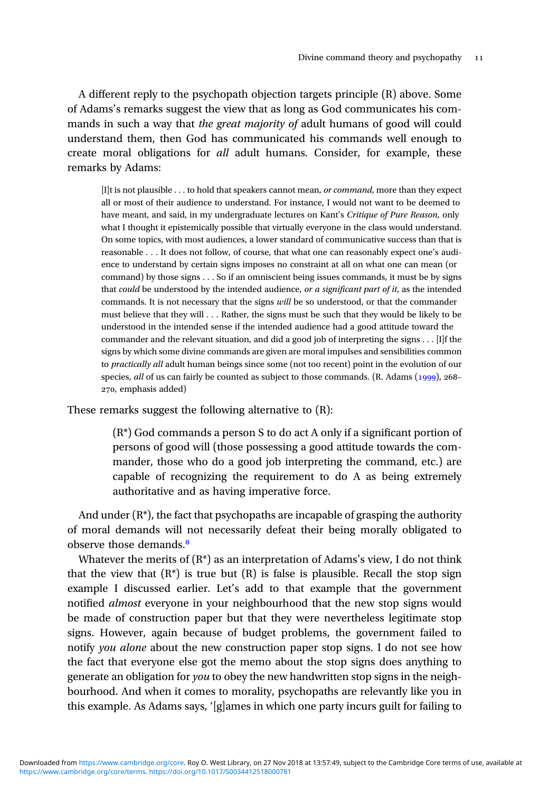A different reply to the psychopath objection targets principle (R) above. Some of Adams's remarks suggest the view that as long as God communicates his commands in such a way that *the great majority of* adult humans of good will could understand them, then God has communicated his commands well enough to create moral obligations for *all* adult humans. Consider, for example, these remarks by Adams:

[I]t is not plausible . . . to hold that speakers cannot mean, or command, more than they expect all or most of their audience to understand. For instance, I would not want to be deemed to have meant, and said, in my undergraduate lectures on Kant's Critique of Pure Reason, only what I thought it epistemically possible that virtually everyone in the class would understand. On some topics, with most audiences, a lower standard of communicative success than that is reasonable . . . It does not follow, of course, that what one can reasonably expect one's audience to understand by certain signs imposes no constraint at all on what one can mean (or command) by those signs . . . So if an omniscient being issues commands, it must be by signs that could be understood by the intended audience, or a significant part of it, as the intended commands. It is not necessary that the signs will be so understood, or that the commander must believe that they will . . . Rather, the signs must be such that they would be likely to be understood in the intended sense if the intended audience had a good attitude toward the commander and the relevant situation, and did a good job of interpreting the signs . . . [I]f the signs by which some divine commands are given are moral impulses and sensibilities common to practically all adult human beings since some (not too recent) point in the evolution of our species, all of us can fairly be counted as subject to those commands. (R. Adams  $(1999)$ , 268– 270, emphasis added)

These remarks suggest the following alternative to (R):

(R\*) God commands a person S to do act A only if a significant portion of persons of good will (those possessing a good attitude towards the commander, those who do a good job interpreting the command, etc.) are capable of recognizing the requirement to do A as being extremely authoritative and as having imperative force.

And under  $(R^*)$ , the fact that psychopaths are incapable of grasping the authority of moral demands will not necessarily defeat their being morally obligated to observe those demands.

Whatever the merits of  $(R^*)$  as an interpretation of Adams's view, I do not think that the view that  $(R^*)$  is true but  $(R)$  is false is plausible. Recall the stop sign example I discussed earlier. Let's add to that example that the government notified almost everyone in your neighbourhood that the new stop signs would be made of construction paper but that they were nevertheless legitimate stop signs. However, again because of budget problems, the government failed to notify you alone about the new construction paper stop signs. I do not see how the fact that everyone else got the memo about the stop signs does anything to generate an obligation for you to obey the new handwritten stop signs in the neighbourhood. And when it comes to morality, psychopaths are relevantly like you in this example. As Adams says, '[g]ames in which one party incurs guilt for failing to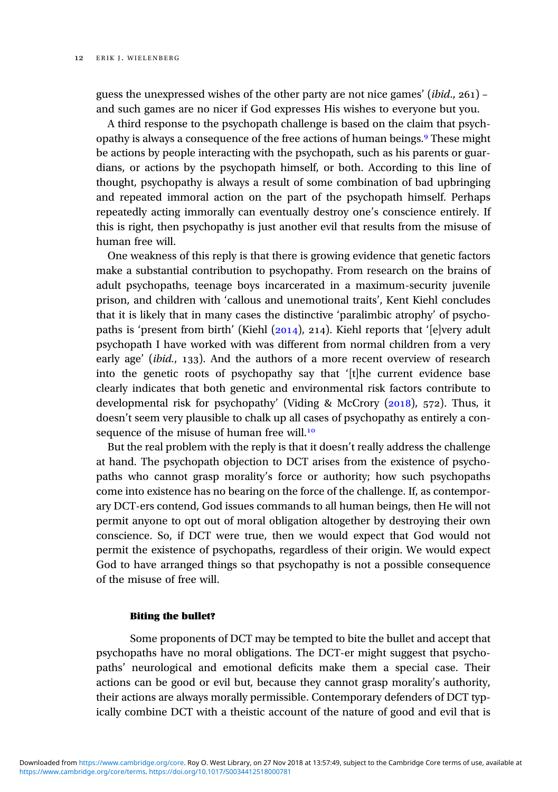guess the unexpressed wishes of the other party are not nice games' (*ibid.*,  $261$ ) – and such games are no nicer if God expresses His wishes to everyone but you.

A third response to the psychopath challenge is based on the claim that psychopathy is always a consequence of the free actions of human beings.<sup>9</sup> These might be actions by people interacting with the psychopath, such as his parents or guardians, or actions by the psychopath himself, or both. According to this line of thought, psychopathy is always a result of some combination of bad upbringing and repeated immoral action on the part of the psychopath himself. Perhaps repeatedly acting immorally can eventually destroy one's conscience entirely. If this is right, then psychopathy is just another evil that results from the misuse of human free will.

One weakness of this reply is that there is growing evidence that genetic factors make a substantial contribution to psychopathy. From research on the brains of adult psychopaths, teenage boys incarcerated in a maximum-security juvenile prison, and children with 'callous and unemotional traits', Kent Kiehl concludes that it is likely that in many cases the distinctive 'paralimbic atrophy' of psychopaths is 'present from birth' (Kiehl  $(2014)$ , 214). Kiehl reports that '[e]very adult psychopath I have worked with was different from normal children from a very early age' (*ibid.*, 133). And the authors of a more recent overview of research into the genetic roots of psychopathy say that '[t]he current evidence base clearly indicates that both genetic and environmental risk factors contribute to developmental risk for psychopathy' (Viding & McCrory  $(2018)$ , 572). Thus, it doesn't seem very plausible to chalk up all cases of psychopathy as entirely a consequence of the misuse of human free will.<sup>10</sup>

But the real problem with the reply is that it doesn't really address the challenge at hand. The psychopath objection to DCT arises from the existence of psychopaths who cannot grasp morality's force or authority; how such psychopaths come into existence has no bearing on the force of the challenge. If, as contemporary DCT-ers contend, God issues commands to all human beings, then He will not permit anyone to opt out of moral obligation altogether by destroying their own conscience. So, if DCT were true, then we would expect that God would not permit the existence of psychopaths, regardless of their origin. We would expect God to have arranged things so that psychopathy is not a possible consequence of the misuse of free will.

## Biting the bullet?

Some proponents of DCT may be tempted to bite the bullet and accept that psychopaths have no moral obligations. The DCT-er might suggest that psychopaths' neurological and emotional deficits make them a special case. Their actions can be good or evil but, because they cannot grasp morality's authority, their actions are always morally permissible. Contemporary defenders of DCT typically combine DCT with a theistic account of the nature of good and evil that is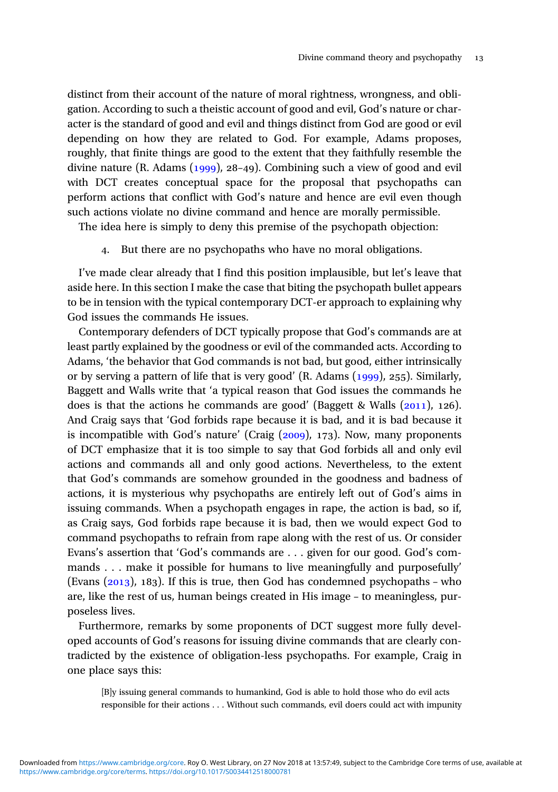distinct from their account of the nature of moral rightness, wrongness, and obligation. According to such a theistic account of good and evil, God's nature or character is the standard of good and evil and things distinct from God are good or evil depending on how they are related to God. For example, Adams proposes, roughly, that finite things are good to the extent that they faithfully resemble the divine nature  $(R.$  Adams  $(1999)$ , 28–49). Combining such a view of good and evil with DCT creates conceptual space for the proposal that psychopaths can perform actions that conflict with God's nature and hence are evil even though such actions violate no divine command and hence are morally permissible.

The idea here is simply to deny this premise of the psychopath objection:

. But there are no psychopaths who have no moral obligations.

I've made clear already that I find this position implausible, but let's leave that aside here. In this section I make the case that biting the psychopath bullet appears to be in tension with the typical contemporary DCT-er approach to explaining why God issues the commands He issues.

Contemporary defenders of DCT typically propose that God's commands are at least partly explained by the goodness or evil of the commanded acts. According to Adams, 'the behavior that God commands is not bad, but good, either intrinsically or by serving a pattern of life that is very good' (R. Adams  $(1999)$ , 255). Similarly, Baggett and Walls write that 'a typical reason that God issues the commands he does is that the actions he commands are good' (Baggett & Walls  $(2011)$ , 126). And Craig says that 'God forbids rape because it is bad, and it is bad because it is incompatible with God's nature' (Craig  $(2009)$ , 173). Now, many proponents of DCT emphasize that it is too simple to say that God forbids all and only evil actions and commands all and only good actions. Nevertheless, to the extent that God's commands are somehow grounded in the goodness and badness of actions, it is mysterious why psychopaths are entirely left out of God's aims in issuing commands. When a psychopath engages in rape, the action is bad, so if, as Craig says, God forbids rape because it is bad, then we would expect God to command psychopaths to refrain from rape along with the rest of us. Or consider Evans's assertion that 'God's commands are . . . given for our good. God's commands . . . make it possible for humans to live meaningfully and purposefully' (Evans  $(2013)$ , 183). If this is true, then God has condemned psychopaths – who are, like the rest of us, human beings created in His image – to meaningless, purposeless lives.

Furthermore, remarks by some proponents of DCT suggest more fully developed accounts of God's reasons for issuing divine commands that are clearly contradicted by the existence of obligation-less psychopaths. For example, Craig in one place says this:

[B]y issuing general commands to humankind, God is able to hold those who do evil acts responsible for their actions . . . Without such commands, evil doers could act with impunity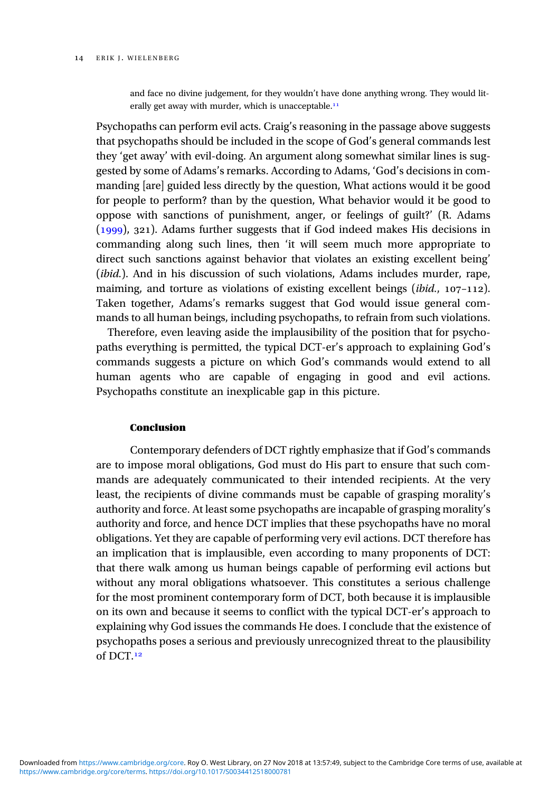and face no divine judgement, for they wouldn't have done anything wrong. They would literally get away with murder, which is unacceptable.<sup>11</sup>

Psychopaths can perform evil acts. Craig's reasoning in the passage above suggests that psychopaths should be included in the scope of God's general commands lest they 'get away' with evil-doing. An argument along somewhat similar lines is suggested by some of Adams's remarks. According to Adams, 'God's decisions in commanding [are] guided less directly by the question, What actions would it be good for people to perform? than by the question, What behavior would it be good to oppose with sanctions of punishment, anger, or feelings of guilt?' (R. Adams  $(1999)$ , 321). Adams further suggests that if God indeed makes His decisions in commanding along such lines, then 'it will seem much more appropriate to direct such sanctions against behavior that violates an existing excellent being' (*ibid.*). And in his discussion of such violations, Adams includes murder, rape, maiming, and torture as violations of existing excellent beings (*ibid.*,  $107-112$ ). Taken together, Adams's remarks suggest that God would issue general commands to all human beings, including psychopaths, to refrain from such violations.

Therefore, even leaving aside the implausibility of the position that for psychopaths everything is permitted, the typical DCT-er's approach to explaining God's commands suggests a picture on which God's commands would extend to all human agents who are capable of engaging in good and evil actions. Psychopaths constitute an inexplicable gap in this picture.

## **Conclusion**

Contemporary defenders of DCT rightly emphasize that if God's commands are to impose moral obligations, God must do His part to ensure that such commands are adequately communicated to their intended recipients. At the very least, the recipients of divine commands must be capable of grasping morality's authority and force. At least some psychopaths are incapable of grasping morality's authority and force, and hence DCT implies that these psychopaths have no moral obligations. Yet they are capable of performing very evil actions. DCT therefore has an implication that is implausible, even according to many proponents of DCT: that there walk among us human beings capable of performing evil actions but without any moral obligations whatsoever. This constitutes a serious challenge for the most prominent contemporary form of DCT, both because it is implausible on its own and because it seems to conflict with the typical DCT-er's approach to explaining why God issues the commands He does. I conclude that the existence of psychopaths poses a serious and previously unrecognized threat to the plausibility of DCT.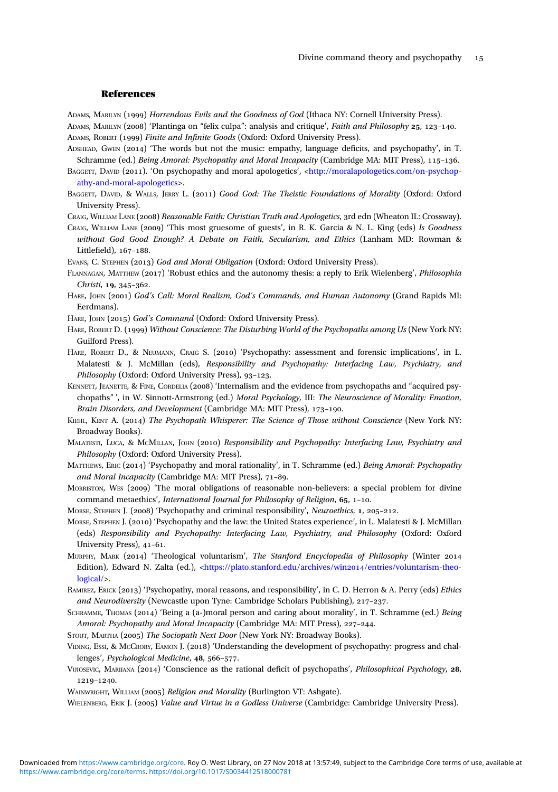## References

<span id="page-15-0"></span>ADAMS, MARILYN (1999) Horrendous Evils and the Goodness of God (Ithaca NY: Cornell University Press). ADAMS, MARILYN (2008) 'Plantinga on "felix culpa": analysis and critique', Faith and Philosophy 25, 123-140.

ADAMS, ROBERT (1999) Finite and Infinite Goods (Oxford: Oxford University Press).

ADSHEAD, GWEN (2014) 'The words but not the music: empathy, language deficits, and psychopathy', in T. Schramme (ed.) Being Amoral: Psychopathy and Moral Incapacity (Cambridge MA: MIT Press), 115-136.

BAGGETT, DAVID (2011). 'On psychopathy and moral apologetics', [<http://moralapologetics.com/on-psychop](http://moralapologetics.com/on-psychopathy-and-moral-apologetics)[athy-and-moral-apologetics](http://moralapologetics.com/on-psychopathy-and-moral-apologetics)>.

BAGGETT, DAVID, & WALLS, JERRY L. (2011) Good God: The Theistic Foundations of Morality (Oxford: Oxford University Press).

CRAIG, WILLIAM LANE (2008) Reasonable Faith: Christian Truth and Apologetics, 3rd edn (Wheaton IL: Crossway).

CRAIG, WILLIAM LANE (2009) 'This most gruesome of guests', in R. K. Garcia & N. L. King (eds) Is Goodness without God Good Enough? A Debate on Faith, Secularism, and Ethics (Lanham MD: Rowman & Littlefield),  $167-188$ .

EVANS, C. STEPHEN (2013) God and Moral Obligation (Oxford: Oxford University Press).

FLANNAGAN, MATTHEW (2017) 'Robust ethics and the autonomy thesis: a reply to Erik Wielenberg', *Philosophia*  $Christi, 19, 345-362.$ 

HARE, JOHN (2001) God's Call: Moral Realism, God's Commands, and Human Autonomy (Grand Rapids MI: Eerdmans).

HARE, JOHN (2015) God's Command (Oxford: Oxford University Press).

HARE, ROBERT D. (1999) Without Conscience: The Disturbing World of the Psychopaths among Us (New York NY: Guilford Press).

HARE, ROBERT D., & NEUMANN, CRAIG S. (2010) 'Psychopathy: assessment and forensic implications', in L. Malatesti & J. McMillan (eds), Responsibility and Psychopathy: Interfacing Law, Psychiatry, and Philosophy (Oxford: Oxford University Press), 93-123.

KENNETT, JEANETTE, & FINE, CORDELIA (2008) 'Internalism and the evidence from psychopaths and "acquired psychopaths" ', in W. Sinnott-Armstrong (ed.) Moral Psychology, III: The Neuroscience of Morality: Emotion, Brain Disorders, and Development (Cambridge MA: MIT Press), 173-190.

KIEHL, KENT A. (2014) The Psychopath Whisperer: The Science of Those without Conscience (New York NY: Broadway Books).

MALATESTI, LUCA, & MCMILLAN, JOHN (2010) Responsibility and Psychopathy: Interfacing Law, Psychiatry and Philosophy (Oxford: Oxford University Press).

MATTHEWS, ERIC (2014) 'Psychopathy and moral rationality', in T. Schramme (ed.) Being Amoral: Psychopathy and Moral Incapacity (Cambridge MA: MIT Press), 71-89.

MORRISTON, WES (2009) 'The moral obligations of reasonable non-believers: a special problem for divine command metaethics', International Journal for Philosophy of Religion,  $65$ ,  $1-10$ .

MORSE, STEPHEN J. (2008) 'Psychopathy and criminal responsibility', Neuroethics, 1, 205-212.

MORSE, STEPHEN J. (2010) 'Psychopathy and the law: the United States experience', in L. Malatesti & J. McMillan (eds) Responsibility and Psychopathy: Interfacing Law, Psychiatry, and Philosophy (Oxford: Oxford University Press), 41-61.

MURPHY, MARK (2014) 'Theological voluntarism', The Stanford Encyclopedia of Philosophy (Winter 2014 Edition), Edward N. Zalta (ed.), <[https://plato.stanford.edu/archives/win](https://plato.stanford.edu/archives/win2014/entries/voluntarism-theological/)2014/entries/voluntarism-theo[logical/>](https://plato.stanford.edu/archives/win2014/entries/voluntarism-theological/).

RAMIREZ, ERICK (2013) 'Psychopathy, moral reasons, and responsibility', in C. D. Herron & A. Perry (eds) Ethics and Neurodiversity (Newcastle upon Tyne: Cambridge Scholars Publishing),  $217-237$ .

SCHRAMME, THOMAS (2014) 'Being a (a-)moral person and caring about morality', in T. Schramme (ed.) Being Amoral: Psychopathy and Moral Incapacity (Cambridge MA: MIT Press), 227-244.

STOUT, MARTHA (2005) The Sociopath Next Door (New York NY: Broadway Books).

VIDING, ESSI, & MCCRORY, EAMON J. (2018) 'Understanding the development of psychopathy: progress and chal $l$ enges', *Psychological Medicine*,  $48.566 - 577$ .

VUJOSEVIC, MARIJANA (2014) 'Conscience as the rational deficit of psychopaths', *Philosophical Psychology*, 28, 1219-1240.

WAINWRIGHT, WILLIAM (2005) Religion and Morality (Burlington VT: Ashgate).

WIELENBERG, ERIK J. (2005) Value and Virtue in a Godless Universe (Cambridge: Cambridge University Press).